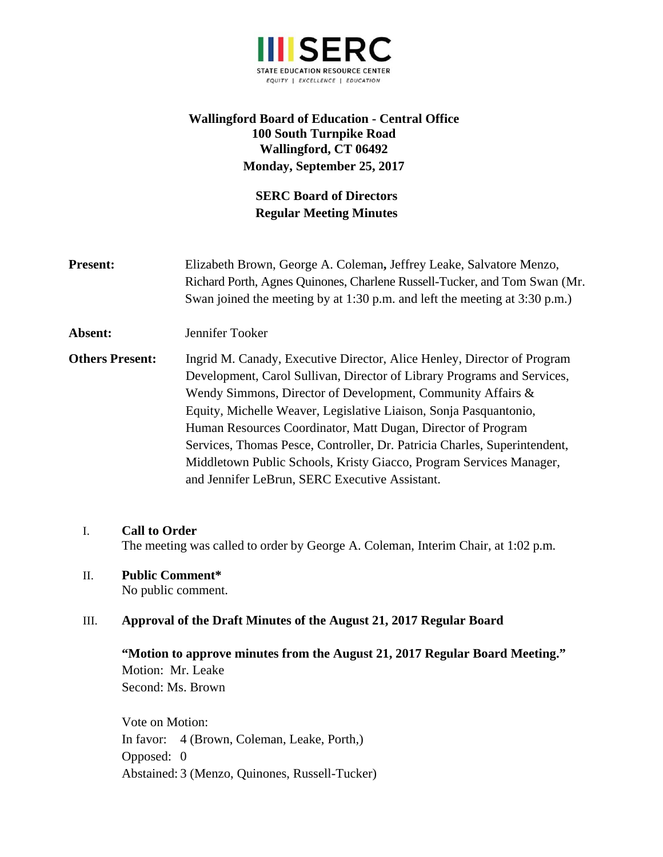

# **Wallingford Board of Education - Central Office 100 South Turnpike Road Wallingford, CT 06492 Monday, September 25, 2017**

# **SERC Board of Directors Regular Meeting Minutes**

**Present:** Elizabeth Brown, George A. Coleman**,** Jeffrey Leake, Salvatore Menzo, Richard Porth, Agnes Quinones, Charlene Russell-Tucker, and Tom Swan (Mr. Swan joined the meeting by at 1:30 p.m. and left the meeting at 3:30 p.m.) **Absent:** Jennifer Tooker **Others Present:** Ingrid M. Canady, Executive Director, Alice Henley, Director of Program Development, Carol Sullivan, Director of Library Programs and Services, Wendy Simmons, Director of Development, Community Affairs & Equity, Michelle Weaver, Legislative Liaison, Sonja Pasquantonio, Human Resources Coordinator, Matt Dugan, Director of Program Services, Thomas Pesce, Controller, Dr. Patricia Charles, Superintendent, Middletown Public Schools, Kristy Giacco, Program Services Manager, and Jennifer LeBrun, SERC Executive Assistant.

# I. **Call to Order**

The meeting was called to order by George A. Coleman, Interim Chair, at 1:02 p.m.

#### II. **Public Comment\***

No public comment.

# III. **Approval of the Draft Minutes of the August 21, 2017 Regular Board**

**"Motion to approve minutes from the August 21, 2017 Regular Board Meeting."**  Motion: Mr. Leake Second: Ms. Brown

Vote on Motion: In favor: 4 (Brown, Coleman, Leake, Porth,) Opposed: 0 Abstained: 3 (Menzo, Quinones, Russell-Tucker)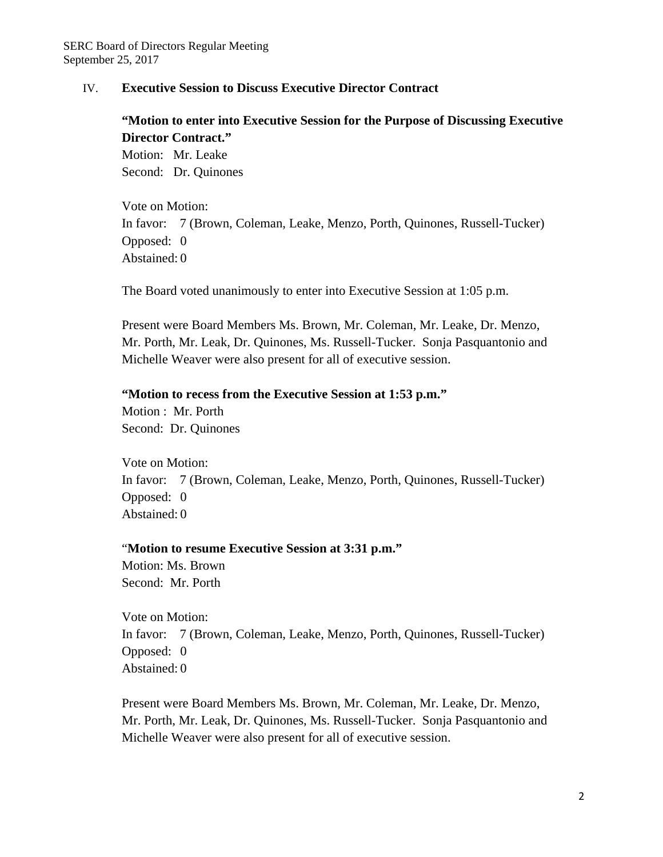# IV. **Executive Session to Discuss Executive Director Contract**

**"Motion to enter into Executive Session for the Purpose of Discussing Executive Director Contract."**  Motion: Mr. Leake

Second: Dr. Quinones

Vote on Motion: In favor: 7 (Brown, Coleman, Leake, Menzo, Porth, Quinones, Russell-Tucker) Opposed: 0 Abstained: 0

The Board voted unanimously to enter into Executive Session at 1:05 p.m.

Present were Board Members Ms. Brown, Mr. Coleman, Mr. Leake, Dr. Menzo, Mr. Porth, Mr. Leak, Dr. Quinones, Ms. Russell-Tucker. Sonja Pasquantonio and Michelle Weaver were also present for all of executive session.

#### **"Motion to recess from the Executive Session at 1:53 p.m."**

Motion : Mr. Porth Second: Dr. Quinones

Vote on Motion: In favor: 7 (Brown, Coleman, Leake, Menzo, Porth, Quinones, Russell-Tucker) Opposed: 0 Abstained: 0

#### "**Motion to resume Executive Session at 3:31 p.m."**

Motion: Ms. Brown Second: Mr. Porth

Vote on Motion: In favor: 7 (Brown, Coleman, Leake, Menzo, Porth, Quinones, Russell-Tucker) Opposed: 0 Abstained: 0

Present were Board Members Ms. Brown, Mr. Coleman, Mr. Leake, Dr. Menzo, Mr. Porth, Mr. Leak, Dr. Quinones, Ms. Russell-Tucker. Sonja Pasquantonio and Michelle Weaver were also present for all of executive session.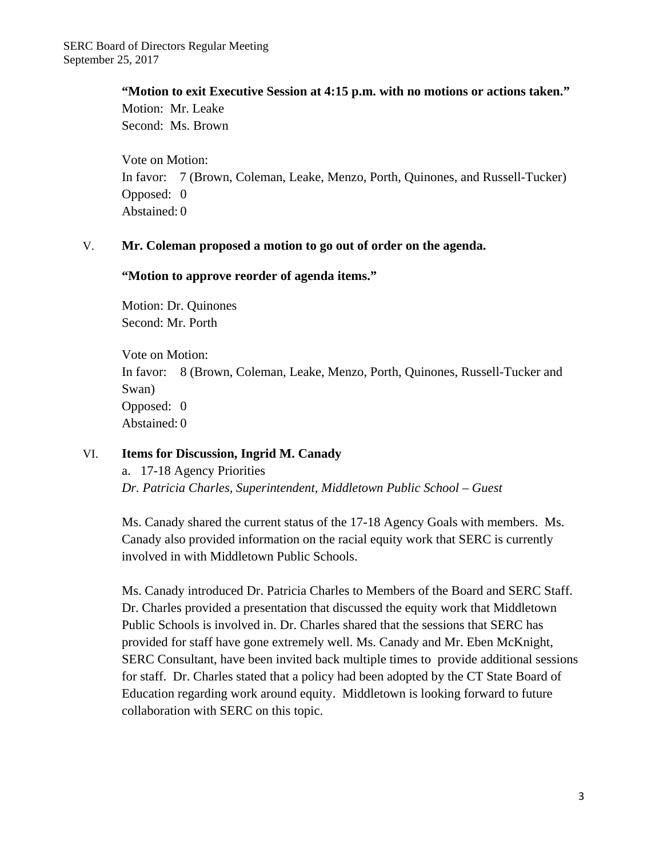**"Motion to exit Executive Session at 4:15 p.m. with no motions or actions taken."**  Motion: Mr. Leake

Second: Ms. Brown

Vote on Motion: In favor: 7 (Brown, Coleman, Leake, Menzo, Porth, Quinones, and Russell-Tucker) Opposed: 0 Abstained: 0

# V. **Mr. Coleman proposed a motion to go out of order on the agenda.**

# **"Motion to approve reorder of agenda items."**

Motion: Dr. Quinones Second: Mr. Porth

Vote on Motion: In favor: 8 (Brown, Coleman, Leake, Menzo, Porth, Quinones, Russell-Tucker and Swan) Opposed: 0 Abstained: 0

# VI. **Items for Discussion, Ingrid M. Canady**

a.17-18 Agency Priorities *Dr. Patricia Charles, Superintendent, Middletown Public School – Guest* 

Ms. Canady shared the current status of the 17-18 Agency Goals with members. Ms. Canady also provided information on the racial equity work that SERC is currently involved in with Middletown Public Schools.

Ms. Canady introduced Dr. Patricia Charles to Members of the Board and SERC Staff. Dr. Charles provided a presentation that discussed the equity work that Middletown Public Schools is involved in. Dr. Charles shared that the sessions that SERC has provided for staff have gone extremely well. Ms. Canady and Mr. Eben McKnight, SERC Consultant, have been invited back multiple times to provide additional sessions for staff. Dr. Charles stated that a policy had been adopted by the CT State Board of Education regarding work around equity. Middletown is looking forward to future collaboration with SERC on this topic.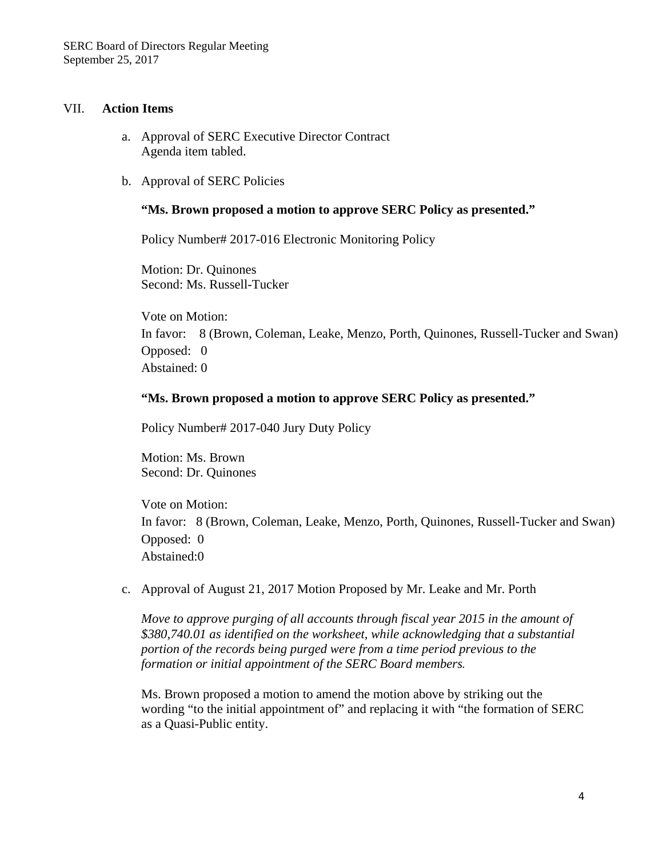#### VII. **Action Items**

- a. Approval of SERC Executive Director Contract Agenda item tabled.
- b. Approval of SERC Policies

#### **"Ms. Brown proposed a motion to approve SERC Policy as presented."**

Policy Number# 2017-016 Electronic Monitoring Policy

Motion: Dr. Quinones Second: Ms. Russell-Tucker

Vote on Motion: In favor: 8 (Brown, Coleman, Leake, Menzo, Porth, Quinones, Russell-Tucker and Swan) Opposed: 0 Abstained: 0

#### **"Ms. Brown proposed a motion to approve SERC Policy as presented."**

Policy Number# 2017-040 Jury Duty Policy

Motion: Ms. Brown Second: Dr. Quinones

Vote on Motion: In favor: 8 (Brown, Coleman, Leake, Menzo, Porth, Quinones, Russell-Tucker and Swan) Opposed: 0 Abstained:0

c. Approval of August 21, 2017 Motion Proposed by Mr. Leake and Mr. Porth

*Move to approve purging of all accounts through fiscal year 2015 in the amount of \$380,740.01 as identified on the worksheet, while acknowledging that a substantial portion of the records being purged were from a time period previous to the formation or initial appointment of the SERC Board members.*

Ms. Brown proposed a motion to amend the motion above by striking out the wording "to the initial appointment of" and replacing it with "the formation of SERC as a Quasi-Public entity.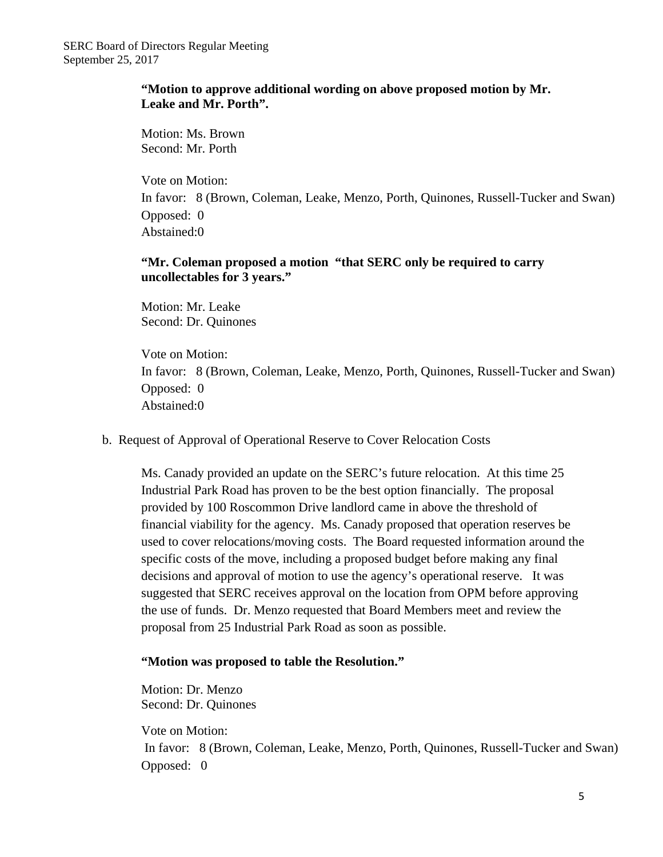# **"Motion to approve additional wording on above proposed motion by Mr. Leake and Mr. Porth".**

Motion: Ms. Brown Second: Mr. Porth

Vote on Motion: In favor: 8 (Brown, Coleman, Leake, Menzo, Porth, Quinones, Russell-Tucker and Swan) Opposed: 0 Abstained:0

# **"Mr. Coleman proposed a motion "that SERC only be required to carry uncollectables for 3 years."**

Motion: Mr. Leake Second: Dr. Quinones

Vote on Motion: In favor: 8 (Brown, Coleman, Leake, Menzo, Porth, Quinones, Russell-Tucker and Swan) Opposed: 0 Abstained:0

# b. Request of Approval of Operational Reserve to Cover Relocation Costs

Ms. Canady provided an update on the SERC's future relocation. At this time 25 Industrial Park Road has proven to be the best option financially. The proposal provided by 100 Roscommon Drive landlord came in above the threshold of financial viability for the agency. Ms. Canady proposed that operation reserves be used to cover relocations/moving costs. The Board requested information around the specific costs of the move, including a proposed budget before making any final decisions and approval of motion to use the agency's operational reserve. It was suggested that SERC receives approval on the location from OPM before approving the use of funds. Dr. Menzo requested that Board Members meet and review the proposal from 25 Industrial Park Road as soon as possible.

# **"Motion was proposed to table the Resolution."**

Motion: Dr. Menzo Second: Dr. Quinones

Vote on Motion:

In favor: 8 (Brown, Coleman, Leake, Menzo, Porth, Quinones, Russell-Tucker and Swan) Opposed: 0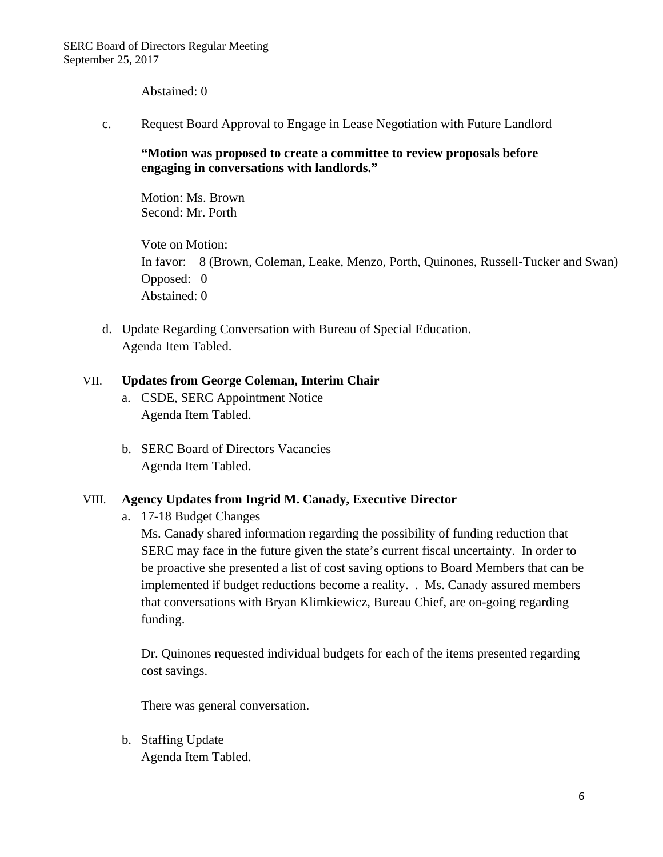Abstained: 0

c. Request Board Approval to Engage in Lease Negotiation with Future Landlord

**"Motion was proposed to create a committee to review proposals before engaging in conversations with landlords."** 

Motion: Ms. Brown Second: Mr. Porth

Vote on Motion: In favor: 8 (Brown, Coleman, Leake, Menzo, Porth, Quinones, Russell-Tucker and Swan) Opposed: 0 Abstained: 0

d. Update Regarding Conversation with Bureau of Special Education. Agenda Item Tabled.

# VII. **Updates from George Coleman, Interim Chair**

- a. CSDE, SERC Appointment Notice Agenda Item Tabled.
- b. SERC Board of Directors Vacancies Agenda Item Tabled.

# VIII. **Agency Updates from Ingrid M. Canady, Executive Director**

a. 17-18 Budget Changes

Ms. Canady shared information regarding the possibility of funding reduction that SERC may face in the future given the state's current fiscal uncertainty. In order to be proactive she presented a list of cost saving options to Board Members that can be implemented if budget reductions become a reality. . Ms. Canady assured members that conversations with Bryan Klimkiewicz, Bureau Chief, are on-going regarding funding.

Dr. Quinones requested individual budgets for each of the items presented regarding cost savings.

There was general conversation.

b. Staffing Update Agenda Item Tabled.